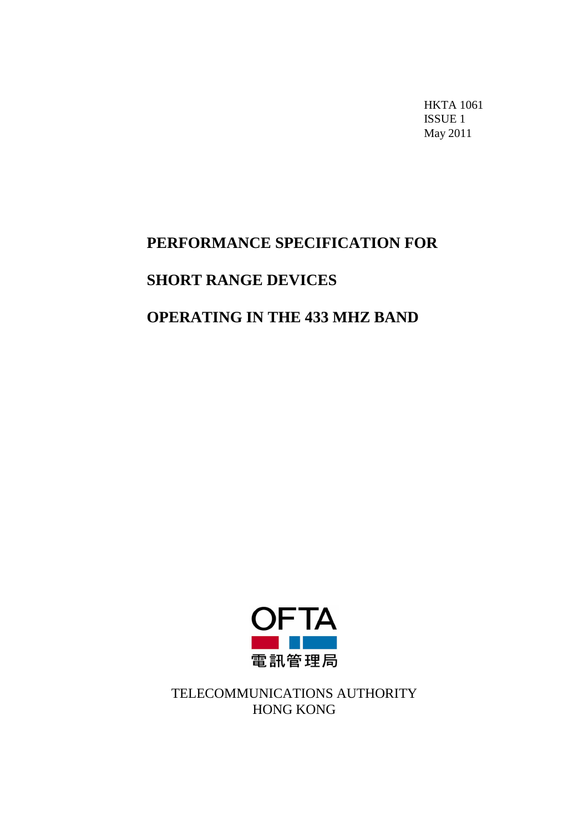HKTA 1061 ISSUE 1 May 2011

## **PERFORMANCE SPECIFICATION FOR**

# **SHORT RANGE DEVICES**

# **OPERATING IN THE 433 MHZ BAND**



TELECOMMUNICATIONS AUTHORITY HONG KONG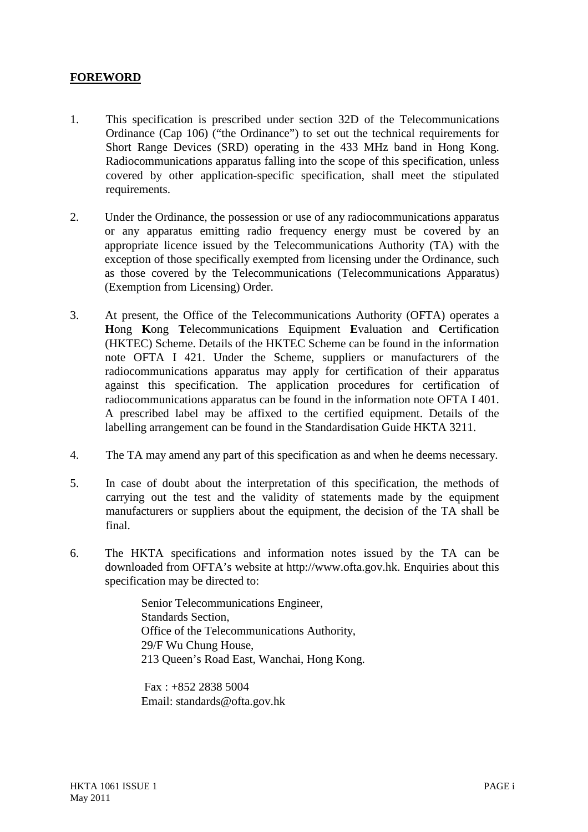#### **FOREWORD**

- 1. This specification is prescribed under section 32D of the Telecommunications Ordinance (Cap 106) ("the Ordinance") to set out the technical requirements for Short Range Devices (SRD) operating in the 433 MHz band in Hong Kong. Radiocommunications apparatus falling into the scope of this specification, unless covered by other application-specific specification, shall meet the stipulated requirements.
- 2. Under the Ordinance, the possession or use of any radiocommunications apparatus or any apparatus emitting radio frequency energy must be covered by an appropriate licence issued by the Telecommunications Authority (TA) with the exception of those specifically exempted from licensing under the Ordinance, such as those covered by the Telecommunications (Telecommunications Apparatus) (Exemption from Licensing) Order.
- 3. At present, the Office of the Telecommunications Authority (OFTA) operates a **H**ong **K**ong **T**elecommunications Equipment **E**valuation and **C**ertification (HKTEC) Scheme. Details of the HKTEC Scheme can be found in the information note OFTA I 421. Under the Scheme, suppliers or manufacturers of the radiocommunications apparatus may apply for certification of their apparatus against this specification. The application procedures for certification of radiocommunications apparatus can be found in the information note OFTA I 401. A prescribed label may be affixed to the certified equipment. Details of the labelling arrangement can be found in the Standardisation Guide HKTA 3211.
- 4. The TA may amend any part of this specification as and when he deems necessary.
- 5. In case of doubt about the interpretation of this specification, the methods of carrying out the test and the validity of statements made by the equipment manufacturers or suppliers about the equipment, the decision of the TA shall be final.
- 6. The HKTA specifications and information notes issued by the TA can be downloaded from OFTA's website at http://www.ofta.gov.hk. Enquiries about this specification may be directed to:

Senior Telecommunications Engineer, Standards Section, Office of the Telecommunications Authority, 29/F Wu Chung House, 213 Queen's Road East, Wanchai, Hong Kong.

Fax : +852 2838 5004 Email: standards@ofta.gov.hk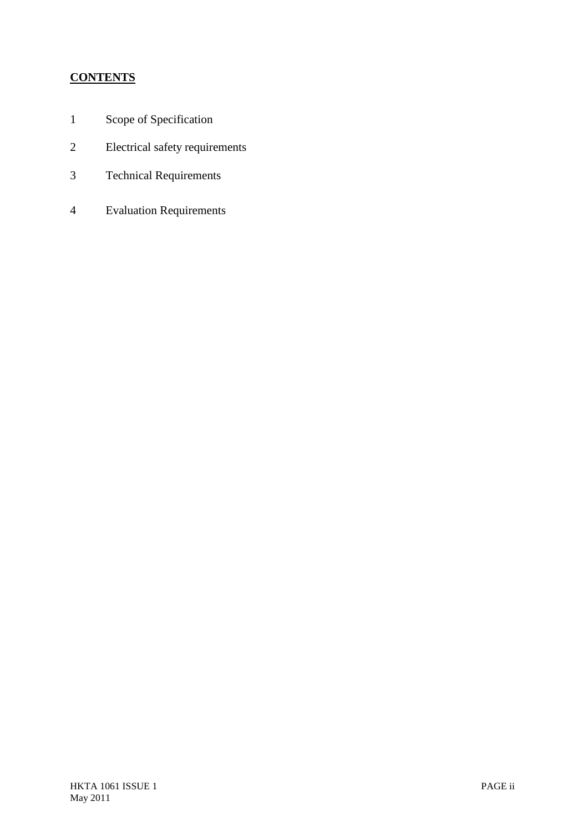## **CONTENTS**

- 1 Scope of Specification
- 2 Electrical safety requirements
- 3 Technical Requirements
- 4 Evaluation Requirements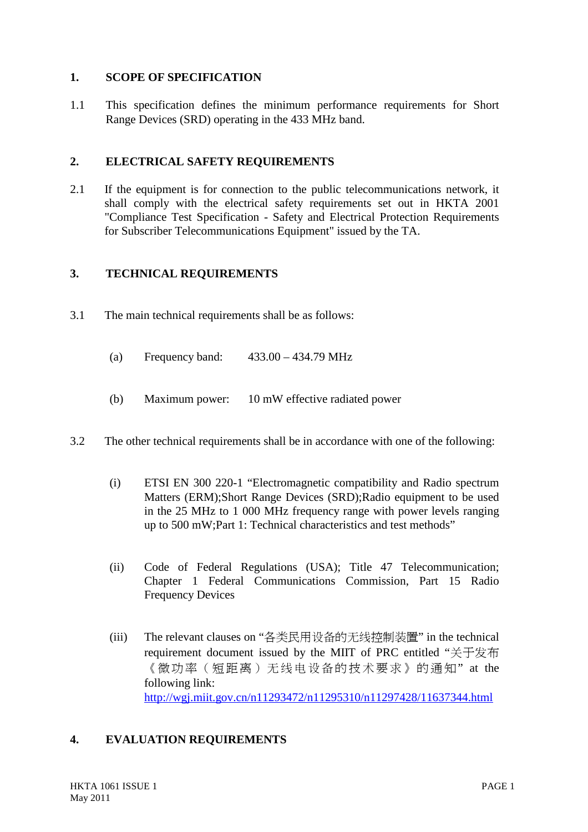#### **1. SCOPE OF SPECIFICATION**

1.1 This specification defines the minimum performance requirements for Short Range Devices (SRD) operating in the 433 MHz band.

### **2. ELECTRICAL SAFETY REQUIREMENTS**

2.1 If the equipment is for connection to the public telecommunications network, it shall comply with the electrical safety requirements set out in HKTA 2001 "Compliance Test Specification - Safety and Electrical Protection Requirements for Subscriber Telecommunications Equipment" issued by the TA.

### **3. TECHNICAL REQUIREMENTS**

- 3.1 The main technical requirements shall be as follows:
	- (a) Frequency band: 433.00 434.79 MHz
	- (b) Maximum power: 10 mW effective radiated power
- 3.2 The other technical requirements shall be in accordance with one of the following:
	- (i) ETSI EN 300 220-1 "Electromagnetic compatibility and Radio spectrum Matters (ERM);Short Range Devices (SRD);Radio equipment to be used in the 25 MHz to 1 000 MHz frequency range with power levels ranging up to 500 mW;Part 1: Technical characteristics and test methods"
	- (ii) Code of Federal Regulations (USA); Title 47 Telecommunication; Chapter 1 Federal Communications Commission, Part 15 Radio Frequency Devices
	- (iii) The relevant clauses on "各类民用设备的无线控制装置" in the technical requirement document issued by the MIIT of PRC entitled "关于发布 《微功率(短距离)无线电设备的技术要求》的通知" at the following link: <http://wgj.miit.gov.cn/n11293472/n11295310/n11297428/11637344.html>

### **4. EVALUATION REQUIREMENTS**